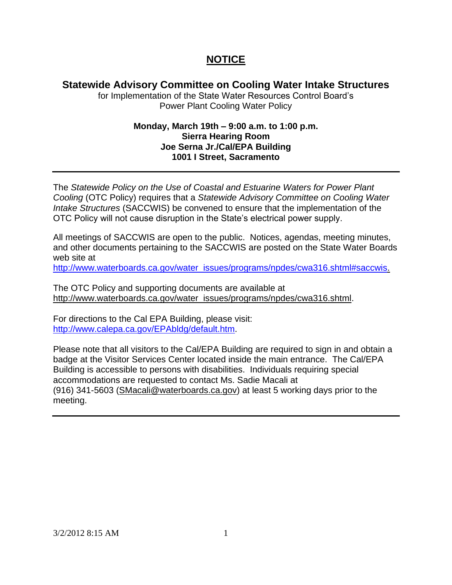## **NOTICE**

## **Statewide Advisory Committee on Cooling Water Intake Structures**

for Implementation of the State Water Resources Control Board's Power Plant Cooling Water Policy

## **Monday, March 19th – 9:00 a.m. to 1:00 p.m. Sierra Hearing Room Joe Serna Jr./Cal/EPA Building 1001 I Street, Sacramento**

The *Statewide Policy on the Use of Coastal and Estuarine Waters for Power Plant Cooling* (OTC Policy) requires that a *Statewide Advisory Committee on Cooling Water Intake Structures* (SACCWIS) be convened to ensure that the implementation of the OTC Policy will not cause disruption in the State's electrical power supply.

All meetings of SACCWIS are open to the public. Notices, agendas, meeting minutes, and other documents pertaining to the SACCWIS are posted on the State Water Boards web site at

[http://www.waterboards.ca.gov/water\\_issues/programs/npdes/cwa316.shtml#saccwis.](http://www.waterboards.ca.gov/water_issues/programs/npdes/cwa316.shtml#saccwis)

The OTC Policy and supporting documents are available at [http://www.waterboards.ca.gov/water\\_issues/programs/npdes/cwa316.shtml.](http://www.waterboards.ca.gov/water_issues/programs/npdes/cwa316.shtml)

For directions to the Cal EPA Building, please visit: [http://www.calepa.ca.gov/EPAbldg/default.htm.](http://www.calepa.ca.gov/EPAbldg/default.htm)

Please note that all visitors to the Cal/EPA Building are required to sign in and obtain a badge at the Visitor Services Center located inside the main entrance. The Cal/EPA Building is accessible to persons with disabilities. Individuals requiring special accommodations are requested to contact Ms. Sadie Macali at (916) 341-5603 [\(SMacali@waterboards.ca.gov\)](mailto:SMacali@waterboards.ca.gov) at least 5 working days prior to the meeting.